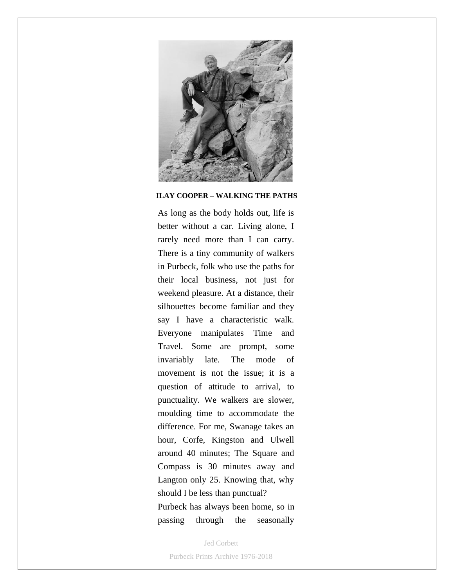

## **ILAY COOPER – WALKING THE PATHS**

As long as the body holds out, life is better without a car. Living alone, I rarely need more than I can carry. There is a tiny community of walkers in Purbeck, folk who use the paths for their local business, not just for weekend pleasure. At a distance, their silhouettes become familiar and they say I have a characteristic walk. Everyone manipulates Time and Travel. Some are prompt, some invariably late. The mode of movement is not the issue; it is a question of attitude to arrival, to punctuality. We walkers are slower, moulding time to accommodate the difference. For me, Swanage takes an hour, Corfe, Kingston and Ulwell around 40 minutes; The Square and Compass is 30 minutes away and Langton only 25. Knowing that, why should I be less than punctual? Purbeck has always been home, so in passing through the seasonally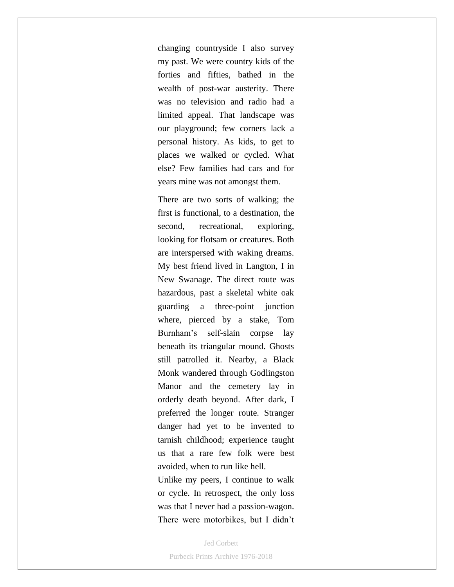changing countryside I also survey my past. We were country kids of the forties and fifties, bathed in the wealth of post-war austerity. There was no television and radio had a limited appeal. That landscape was our playground; few corners lack a personal history. As kids, to get to places we walked or cycled. What else? Few families had cars and for years mine was not amongst them.

There are two sorts of walking; the first is functional, to a destination, the second, recreational, exploring, looking for flotsam or creatures. Both are interspersed with waking dreams. My best friend lived in Langton, I in New Swanage. The direct route was hazardous, past a skeletal white oak guarding a three-point junction where, pierced by a stake, Tom Burnham's self-slain corpse lay beneath its triangular mound. Ghosts still patrolled it. Nearby, a Black Monk wandered through Godlingston Manor and the cemetery lay in orderly death beyond. After dark, I preferred the longer route. Stranger danger had yet to be invented to tarnish childhood; experience taught us that a rare few folk were best avoided, when to run like hell.

Unlike my peers, I continue to walk or cycle. In retrospect, the only loss was that I never had a passion-wagon. There were motorbikes, but I didn't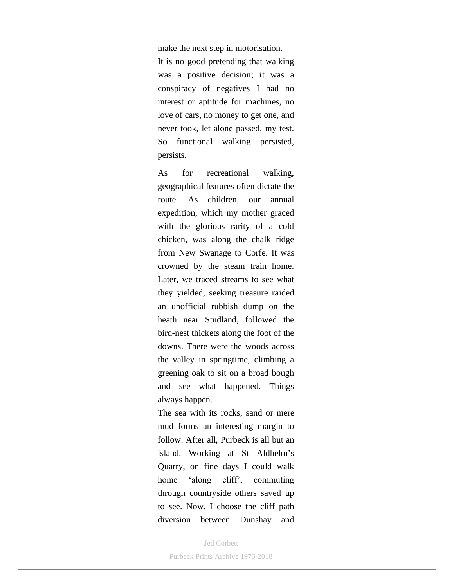make the next step in motorisation. It is no good pretending that walking was a positive decision; it was a conspiracy of negatives I had no interest or aptitude for machines, no love of cars, no money to get one, and never took, let alone passed, my test. So functional walking persisted, persists.

As for recreational walking, geographical features often dictate the route. As children, our annual expedition, which my mother graced with the glorious rarity of a cold chicken, was along the chalk ridge from New Swanage to Corfe. It was crowned by the steam train home. Later, we traced streams to see what they yielded, seeking treasure raided an unofficial rubbish dump on the heath near Studland, followed the bird-nest thickets along the foot of the downs. There were the woods across the valley in springtime, climbing a greening oak to sit on a broad bough and see what happened. Things always happen.

The sea with its rocks, sand or mere mud forms an interesting margin to follow. After all, Purbeck is all but an island. Working at St Aldhelm's Quarry, on fine days I could walk home 'along cliff', commuting through countryside others saved up to see. Now, I choose the cliff path diversion between Dunshay and